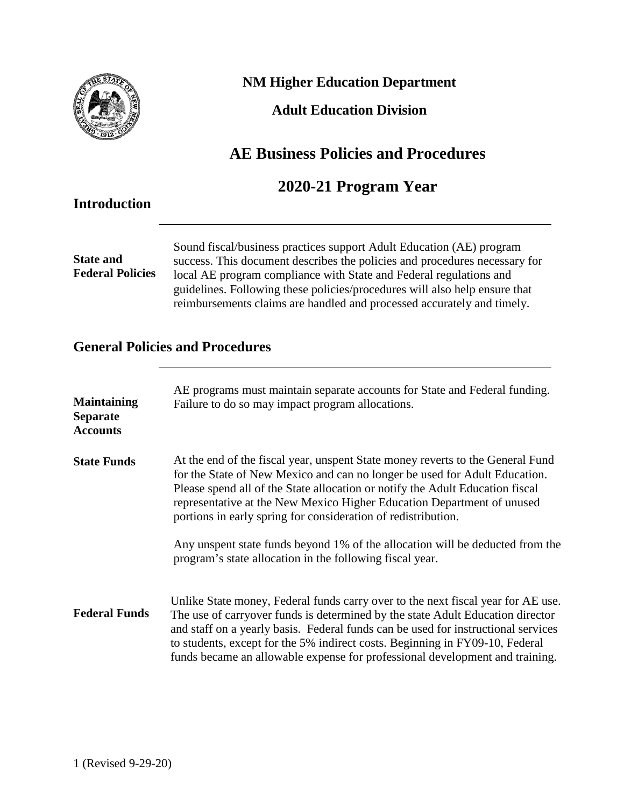

## **NM Higher Education Department**

## **Adult Education Division**

# **AE Business Policies and Procedures**

## **2020-21 Program Year**

## **Introduction**

**State and Federal Policies** Sound fiscal/business practices support Adult Education (AE) program success. This document describes the policies and procedures necessary for local AE program compliance with State and Federal regulations and guidelines. Following these policies/procedures will also help ensure that reimbursements claims are handled and processed accurately and timely.

### **General Policies and Procedures**

| <b>Maintaining</b><br><b>Separate</b><br><b>Accounts</b> | AE programs must maintain separate accounts for State and Federal funding.<br>Failure to do so may impact program allocations.                                                                                                                                                                                                                                                                                          |
|----------------------------------------------------------|-------------------------------------------------------------------------------------------------------------------------------------------------------------------------------------------------------------------------------------------------------------------------------------------------------------------------------------------------------------------------------------------------------------------------|
| <b>State Funds</b>                                       | At the end of the fiscal year, unspent State money reverts to the General Fund<br>for the State of New Mexico and can no longer be used for Adult Education.<br>Please spend all of the State allocation or notify the Adult Education fiscal<br>representative at the New Mexico Higher Education Department of unused<br>portions in early spring for consideration of redistribution.                                |
|                                                          | Any unspent state funds beyond 1% of the allocation will be deducted from the<br>program's state allocation in the following fiscal year.                                                                                                                                                                                                                                                                               |
| <b>Federal Funds</b>                                     | Unlike State money, Federal funds carry over to the next fiscal year for AE use.<br>The use of carryover funds is determined by the state Adult Education director<br>and staff on a yearly basis. Federal funds can be used for instructional services<br>to students, except for the 5% indirect costs. Beginning in FY09-10, Federal<br>funds became an allowable expense for professional development and training. |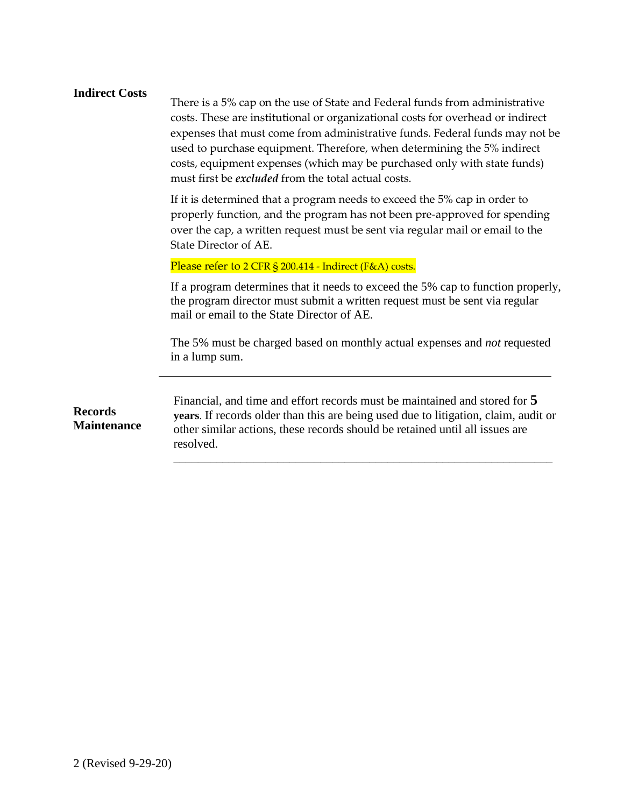#### **Indirect Costs**

There is a 5% cap on the use of State and Federal funds from administrative costs. These are institutional or organizational costs for overhead or indirect expenses that must come from administrative funds. Federal funds may not be used to purchase equipment. Therefore, when determining the 5% indirect costs, equipment expenses (which may be purchased only with state funds) must first be *excluded* from the total actual costs.

If it is determined that a program needs to exceed the 5% cap in order to properly function, and the program has not been pre-approved for spending over the cap, a written request must be sent via regular mail or email to the State Director of AE.

Please refer to 2 CFR § 200.414 - Indirect (F&A) costs.

If a program determines that it needs to exceed the 5% cap to function properly, the program director must submit a written request must be sent via regular mail or email to the State Director of AE.

The 5% must be charged based on monthly actual expenses and *not* requested in a lump sum.

\_\_\_\_\_\_\_\_\_\_\_\_\_\_\_\_\_\_\_\_\_\_\_\_\_\_\_\_\_\_\_\_\_\_\_\_\_\_\_\_\_\_\_\_\_\_\_\_\_\_\_\_\_\_\_\_\_\_\_\_\_\_

**Records Maintenance** Financial, and time and effort records must be maintained and stored for **5 years**. If records older than this are being used due to litigation, claim, audit or other similar actions, these records should be retained until all issues are resolved.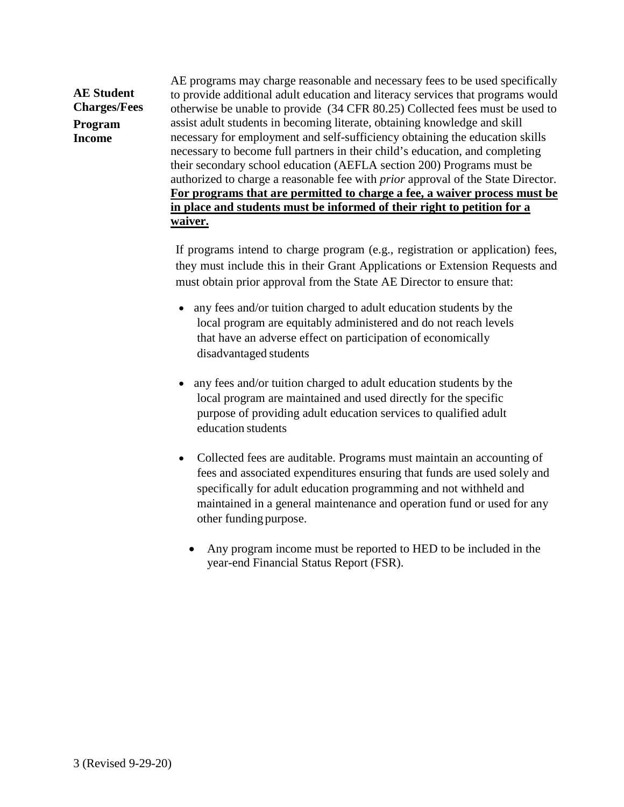**AE Student Charges/Fees Program Income**

AE programs may charge reasonable and necessary fees to be used specifically to provide additional adult education and literacy services that programs would otherwise be unable to provide (34 CFR 80.25) Collected fees must be used to assist adult students in becoming literate, obtaining knowledge and skill necessary for employment and self-sufficiency obtaining the education skills necessary to become full partners in their child's education, and completing their secondary school education (AEFLA section 200) Programs must be authorized to charge a reasonable fee with *prior* approval of the State Director. **For programs that are permitted to charge a fee, a waiver process must be in place and students must be informed of their right to petition for a waiver.**

If programs intend to charge program (e.g., registration or application) fees, they must include this in their Grant Applications or Extension Requests and must obtain prior approval from the State AE Director to ensure that:

- any fees and/or tuition charged to adult education students by the local program are equitably administered and do not reach levels that have an adverse effect on participation of economically disadvantaged students
- any fees and/or tuition charged to adult education students by the local program are maintained and used directly for the specific purpose of providing adult education services to qualified adult education students
- Collected fees are auditable. Programs must maintain an accounting of fees and associated expenditures ensuring that funds are used solely and specifically for adult education programming and not withheld and maintained in a general maintenance and operation fund or used for any other funding purpose.
	- Any program income must be reported to HED to be included in the year-end Financial Status Report (FSR).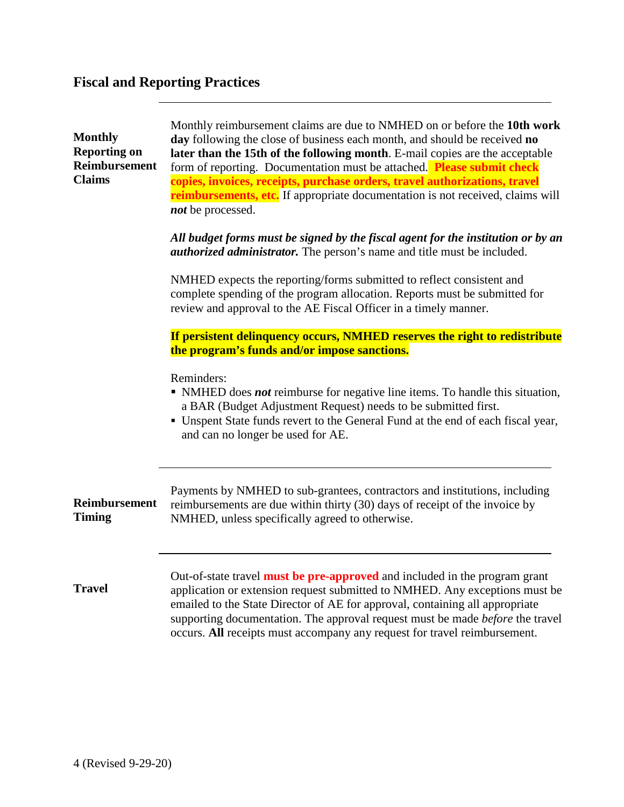# **Fiscal and Reporting Practices**

| <b>Monthly</b><br><b>Reporting on</b><br>Reimbursement<br><b>Claims</b> | Monthly reimbursement claims are due to NMHED on or before the 10th work<br>day following the close of business each month, and should be received no<br>later than the 15th of the following month. E-mail copies are the acceptable<br>form of reporting. Documentation must be attached. Please submit check<br>copies, invoices, receipts, purchase orders, travel authorizations, travel<br><b>reimbursements, etc.</b> If appropriate documentation is not received, claims will<br>not be processed.<br>All budget forms must be signed by the fiscal agent for the institution or by an<br><i>authorized administrator</i> . The person's name and title must be included.<br>NMHED expects the reporting/forms submitted to reflect consistent and<br>complete spending of the program allocation. Reports must be submitted for<br>review and approval to the AE Fiscal Officer in a timely manner. |
|-------------------------------------------------------------------------|---------------------------------------------------------------------------------------------------------------------------------------------------------------------------------------------------------------------------------------------------------------------------------------------------------------------------------------------------------------------------------------------------------------------------------------------------------------------------------------------------------------------------------------------------------------------------------------------------------------------------------------------------------------------------------------------------------------------------------------------------------------------------------------------------------------------------------------------------------------------------------------------------------------|
|                                                                         | If persistent delinquency occurs, NMHED reserves the right to redistribute<br>the program's funds and/or impose sanctions.<br>Reminders:<br>• NMHED does <i>not</i> reimburse for negative line items. To handle this situation,<br>a BAR (Budget Adjustment Request) needs to be submitted first.<br>• Unspent State funds revert to the General Fund at the end of each fiscal year,<br>and can no longer be used for AE.                                                                                                                                                                                                                                                                                                                                                                                                                                                                                   |
| Reimbursement<br><b>Timing</b>                                          | Payments by NMHED to sub-grantees, contractors and institutions, including<br>reimbursements are due within thirty (30) days of receipt of the invoice by<br>NMHED, unless specifically agreed to otherwise.                                                                                                                                                                                                                                                                                                                                                                                                                                                                                                                                                                                                                                                                                                  |
| <b>Travel</b>                                                           | Out-of-state travel <b>must be pre-approved</b> and included in the program grant<br>application or extension request submitted to NMHED. Any exceptions must be<br>emailed to the State Director of AE for approval, containing all appropriate<br>supporting documentation. The approval request must be made <i>before</i> the travel<br>occurs. All receipts must accompany any request for travel reimbursement.                                                                                                                                                                                                                                                                                                                                                                                                                                                                                         |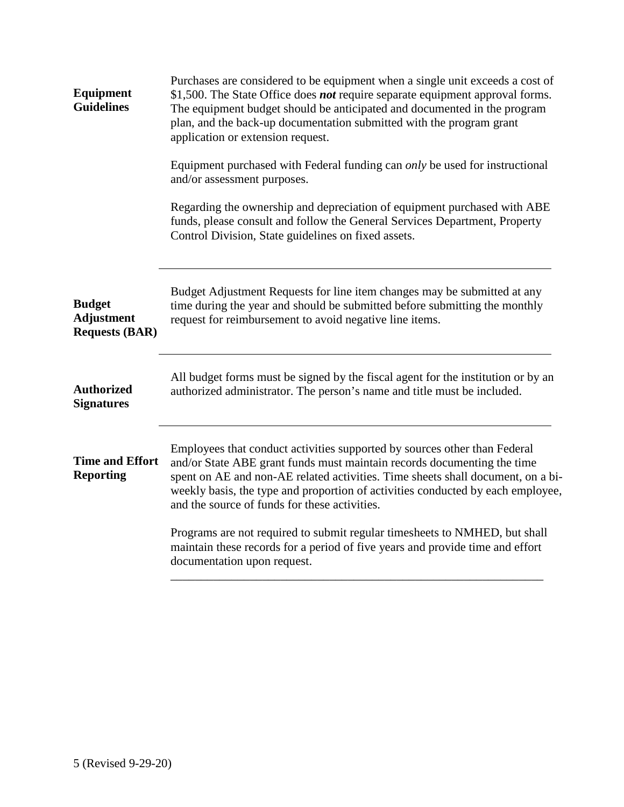| <b>Equipment</b><br><b>Guidelines</b>                       | Purchases are considered to be equipment when a single unit exceeds a cost of<br>\$1,500. The State Office does <i>not</i> require separate equipment approval forms.<br>The equipment budget should be anticipated and documented in the program<br>plan, and the back-up documentation submitted with the program grant<br>application or extension request.              |
|-------------------------------------------------------------|-----------------------------------------------------------------------------------------------------------------------------------------------------------------------------------------------------------------------------------------------------------------------------------------------------------------------------------------------------------------------------|
|                                                             | Equipment purchased with Federal funding can <i>only</i> be used for instructional<br>and/or assessment purposes.                                                                                                                                                                                                                                                           |
|                                                             | Regarding the ownership and depreciation of equipment purchased with ABE<br>funds, please consult and follow the General Services Department, Property<br>Control Division, State guidelines on fixed assets.                                                                                                                                                               |
| <b>Budget</b><br><b>Adjustment</b><br><b>Requests (BAR)</b> | Budget Adjustment Requests for line item changes may be submitted at any<br>time during the year and should be submitted before submitting the monthly<br>request for reimbursement to avoid negative line items.                                                                                                                                                           |
| <b>Authorized</b><br><b>Signatures</b>                      | All budget forms must be signed by the fiscal agent for the institution or by an<br>authorized administrator. The person's name and title must be included.                                                                                                                                                                                                                 |
| <b>Time and Effort</b><br><b>Reporting</b>                  | Employees that conduct activities supported by sources other than Federal<br>and/or State ABE grant funds must maintain records documenting the time<br>spent on AE and non-AE related activities. Time sheets shall document, on a bi-<br>weekly basis, the type and proportion of activities conducted by each employee,<br>and the source of funds for these activities. |
|                                                             | Programs are not required to submit regular timesheets to NMHED, but shall<br>maintain these records for a period of five years and provide time and effort<br>documentation upon request.                                                                                                                                                                                  |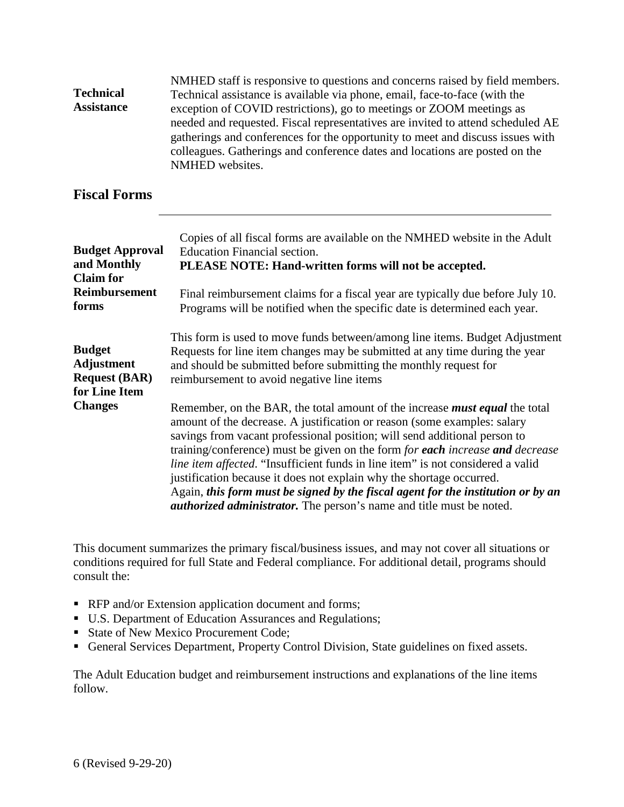| <b>Technical</b><br><b>Assistance</b> | NMHED staff is responsive to questions and concerns raised by field members.<br>Technical assistance is available via phone, email, face-to-face (with the<br>exception of COVID restrictions), go to meetings or ZOOM meetings as<br>needed and requested. Fiscal representatives are invited to attend scheduled AE<br>gatherings and conferences for the opportunity to meet and discuss issues with<br>colleagues. Gatherings and conference dates and locations are posted on the<br>NMHED websites.                                                                                                                                                   |
|---------------------------------------|-------------------------------------------------------------------------------------------------------------------------------------------------------------------------------------------------------------------------------------------------------------------------------------------------------------------------------------------------------------------------------------------------------------------------------------------------------------------------------------------------------------------------------------------------------------------------------------------------------------------------------------------------------------|
| <b>Fiscal Forms</b>                   |                                                                                                                                                                                                                                                                                                                                                                                                                                                                                                                                                                                                                                                             |
| <b>Budget Approval</b>                | Copies of all fiscal forms are available on the NMHED website in the Adult                                                                                                                                                                                                                                                                                                                                                                                                                                                                                                                                                                                  |
| and Monthly                           | <b>Education Financial section.</b>                                                                                                                                                                                                                                                                                                                                                                                                                                                                                                                                                                                                                         |
| <b>Claim</b> for                      | PLEASE NOTE: Hand-written forms will not be accepted.                                                                                                                                                                                                                                                                                                                                                                                                                                                                                                                                                                                                       |
| <b>Reimbursement</b>                  | Final reimbursement claims for a fiscal year are typically due before July 10.                                                                                                                                                                                                                                                                                                                                                                                                                                                                                                                                                                              |
| forms                                 | Programs will be notified when the specific date is determined each year.                                                                                                                                                                                                                                                                                                                                                                                                                                                                                                                                                                                   |
| <b>Budget</b>                         | This form is used to move funds between/among line items. Budget Adjustment                                                                                                                                                                                                                                                                                                                                                                                                                                                                                                                                                                                 |
| <b>Adjustment</b>                     | Requests for line item changes may be submitted at any time during the year                                                                                                                                                                                                                                                                                                                                                                                                                                                                                                                                                                                 |
| <b>Request (BAR)</b>                  | and should be submitted before submitting the monthly request for                                                                                                                                                                                                                                                                                                                                                                                                                                                                                                                                                                                           |
| for Line Item                         | reimbursement to avoid negative line items                                                                                                                                                                                                                                                                                                                                                                                                                                                                                                                                                                                                                  |
| <b>Changes</b>                        | Remember, on the BAR, the total amount of the increase <i>must equal</i> the total<br>amount of the decrease. A justification or reason (some examples: salary<br>savings from vacant professional position; will send additional person to<br>training/conference) must be given on the form for each increase and decrease<br>line item affected. "Insufficient funds in line item" is not considered a valid<br>justification because it does not explain why the shortage occurred.<br>Again, this form must be signed by the fiscal agent for the institution or by an<br><i>authorized administrator</i> . The person's name and title must be noted. |

This document summarizes the primary fiscal/business issues, and may not cover all situations or conditions required for full State and Federal compliance. For additional detail, programs should consult the:

- **RFP** and/or Extension application document and forms;
- U.S. Department of Education Assurances and Regulations;
- State of New Mexico Procurement Code;
- General Services Department, Property Control Division, State guidelines on fixed assets.

The Adult Education budget and reimbursement instructions and explanations of the line items follow.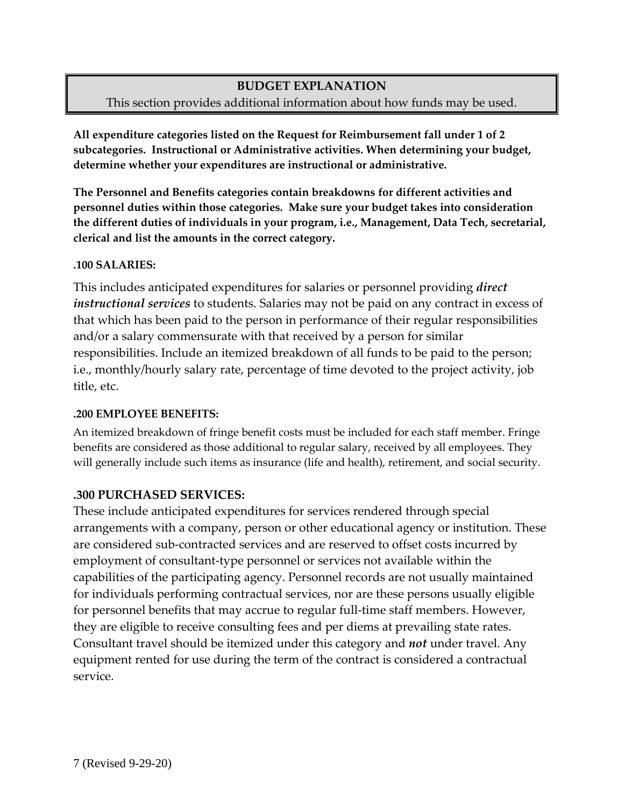## **BUDGET EXPLANATION** This section provides additional information about how funds may be used.

**All expenditure categories listed on the Request for Reimbursement fall under 1 of 2 subcategories. Instructional or Administrative activities. When determining your budget, determine whether your expenditures are instructional or administrative.**

**The Personnel and Benefits categories contain breakdowns for different activities and personnel duties within those categories. Make sure your budget takes into consideration the different duties of individuals in your program, i.e., Management, Data Tech, secretarial, clerical and list the amounts in the correct category.** 

#### **.100 SALARIES:**

This includes anticipated expenditures for salaries or personnel providing *direct instructional services* to students. Salaries may not be paid on any contract in excess of that which has been paid to the person in performance of their regular responsibilities and/or a salary commensurate with that received by a person for similar responsibilities. Include an itemized breakdown of all funds to be paid to the person; i.e., monthly/hourly salary rate, percentage of time devoted to the project activity, job title, etc.

#### **.200 EMPLOYEE BENEFITS:**

 An itemized breakdown of fringe benefit costs must be included for each staff member. Fringe benefits are considered as those additional to regular salary, received by all employees. They will generally include such items as insurance (life and health), retirement, and social security.

#### **.300 PURCHASED SERVICES:**

These include anticipated expenditures for services rendered through special arrangements with a company, person or other educational agency or institution. These are considered sub-contracted services and are reserved to offset costs incurred by employment of consultant-type personnel or services not available within the capabilities of the participating agency. Personnel records are not usually maintained for individuals performing contractual services, nor are these persons usually eligible for personnel benefits that may accrue to regular full-time staff members. However, they are eligible to receive consulting fees and per diems at prevailing state rates. Consultant travel should be itemized under this category and *not* under travel. Any equipment rented for use during the term of the contract is considered a contractual service.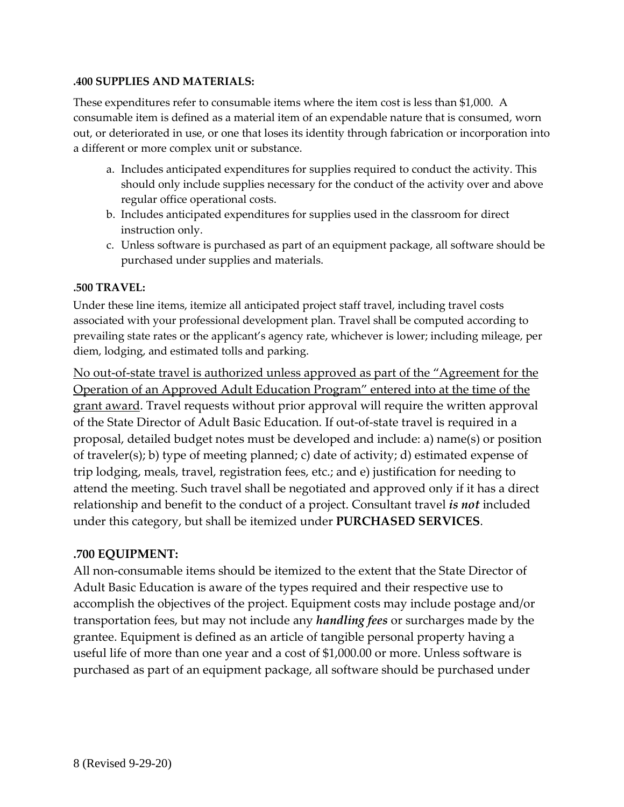#### **.400 SUPPLIES AND MATERIALS:**

These expenditures refer to consumable items where the item cost is less than \$1,000. A consumable item is defined as a material item of an expendable nature that is consumed, worn out, or deteriorated in use, or one that loses its identity through fabrication or incorporation into a different or more complex unit or substance.

- a. Includes anticipated expenditures for supplies required to conduct the activity. This should only include supplies necessary for the conduct of the activity over and above regular office operational costs.
- b. Includes anticipated expenditures for supplies used in the classroom for direct instruction only.
- c. Unless software is purchased as part of an equipment package, all software should be purchased under supplies and materials.

#### **.500 TRAVEL:**

 Under these line items, itemize all anticipated project staff travel, including travel costs associated with your professional development plan. Travel shall be computed according to prevailing state rates or the applicant's agency rate, whichever is lower; including mileage, per diem, lodging, and estimated tolls and parking.

No out-of-state travel is authorized unless approved as part of the "Agreement for the Operation of an Approved Adult Education Program" entered into at the time of the grant award. Travel requests without prior approval will require the written approval of the State Director of Adult Basic Education. If out-of-state travel is required in a proposal, detailed budget notes must be developed and include: a) name(s) or position of traveler(s); b) type of meeting planned; c) date of activity; d) estimated expense of trip lodging, meals, travel, registration fees, etc.; and e) justification for needing to attend the meeting. Such travel shall be negotiated and approved only if it has a direct relationship and benefit to the conduct of a project. Consultant travel *is not* included under this category, but shall be itemized under **PURCHASED SERVICES**.

#### **.700 EQUIPMENT:**

All non-consumable items should be itemized to the extent that the State Director of Adult Basic Education is aware of the types required and their respective use to accomplish the objectives of the project. Equipment costs may include postage and/or transportation fees, but may not include any *handling fees* or surcharges made by the grantee. Equipment is defined as an article of tangible personal property having a useful life of more than one year and a cost of \$1,000.00 or more. Unless software is purchased as part of an equipment package, all software should be purchased under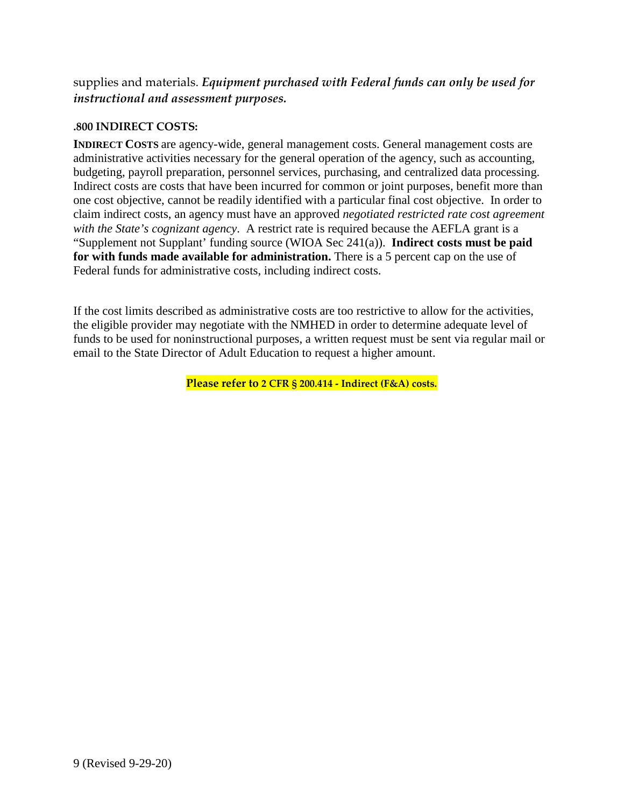supplies and materials. *Equipment purchased with Federal funds can only be used for instructional and assessment purposes.*

#### **.800 INDIRECT COSTS:**

**INDIRECT COSTS** are agency-wide, general management costs. General management costs are administrative activities necessary for the general operation of the agency, such as accounting, budgeting, payroll preparation, personnel services, purchasing, and centralized data processing. Indirect costs are costs that have been incurred for common or joint purposes, benefit more than one cost objective, cannot be readily identified with a particular final cost objective. In order to claim indirect costs, an agency must have an approved *negotiated restricted rate cost agreement with the State's cognizant agency*. A restrict rate is required because the AEFLA grant is a "Supplement not Supplant' funding source (WIOA Sec 241(a)). **Indirect costs must be paid for with funds made available for administration.** There is a 5 percent cap on the use of Federal funds for administrative costs, including indirect costs.

If the cost limits described as administrative costs are too restrictive to allow for the activities, the eligible provider may negotiate with the NMHED in order to determine adequate level of funds to be used for noninstructional purposes, a written request must be sent via regular mail or email to the State Director of Adult Education to request a higher amount.

**Please refer to 2 CFR § 200.414 - Indirect (F&A) costs.**